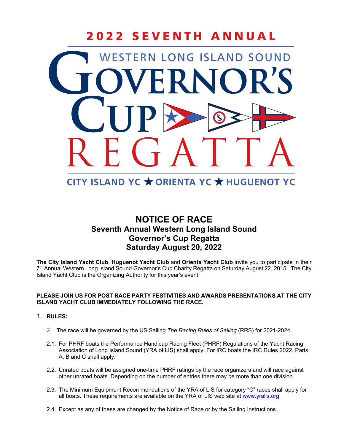# 2022 SEVENTH ANNUAL WESTERN LONG ISLAND SOUND

# CITY ISLAND YC ★ ORIENTA YC ★ HUGUENOT YC

## **NOTICE OF RACE Seventh Annual Western Long Island Sound Governor's Cup Regatta Saturday August 20, 2022**

**The City Island Yacht Club**, **Huguenot Yacht Club** and **Orienta Yacht Club** invite you to participate in their 7<sup>th</sup> Annual Western Long Island Sound Governor's Cup Charity Regatta on Saturday August 22, 2015. The City Island Yacht Club is the Organizing Authority for this year's event.

### **PLEASE JOIN US FOR POST RACE PARTY FESTIVITIES AND AWARDS PRESENTATIONS AT THE CITY ISLAND YACHT CLUB IMMEDIATELY FOLLOWING THE RACE.**

### 1. **RULES:**

- 2. The race will be governed by the US Sailing *The Racing Rules of Sailing* (RRS) for 2021-2024.
- 2.1. For PHRF boats the Performance Handicap Racing Fleet (PHRF) Regulations of the Yacht Racing Association of Long Island Sound (YRA of LIS) shall apply. For IRC boats the IRC Rules 2022, Parts A, B and C shall apply.
- 2.2. Unrated boats will be assigned one-time PHRF ratings by the race organizers and will race against other unrated boats. Depending on the number of entries there may be more than one division.
- 2.3. The Minimum Equipment Recommendations of the YRA of LIS for category "C" races shall apply for all boats. These requirements are available on the YRA of LIS web site at www.yralis.org.
- 2.4. Except as any of these are changed by the Notice of Race or by the Sailing Instructions.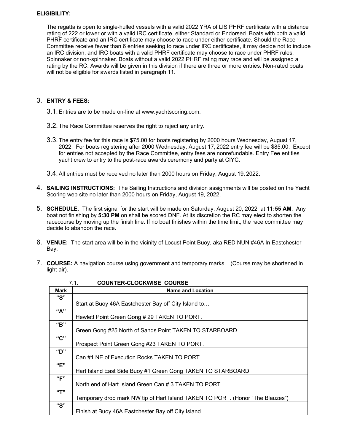### **ELIGIBILITY:**

The regatta is open to single-hulled vessels with a valid 2022 YRA of LIS PHRF certificate with a distance rating of 222 or lower or with a valid IRC certificate, either Standard or Endorsed. Boats with both a valid PHRF certificate and an IRC certificate may choose to race under either certificate. Should the Race Committee receive fewer than 6 entries seeking to race under IRC certificates, it may decide not to include an IRC division, and IRC boats with a valid PHRF certificate may choose to race under PHRF rules, Spinnaker or non-spinnaker. Boats without a valid 2022 PHRF rating may race and will be assigned a rating by the RC. Awards will be given in this division if there are three or more entries. Non-rated boats will not be eligible for awards listed in paragraph 11.

### 3. **ENTRY & FEES:**

- 3.1.Entries are to be made on-line at www.yachtscoring.com.
- 3.2.The Race Committee reserves the right to reject any entry**.**
- 3.3.The entry fee for this race is \$75.00 for boats registering by 2000 hours Wednesday, August 17, 2022. For boats registering after 2000 Wednesday, August 17, 2022 entry fee will be \$85.00. Except for entries not accepted by the Race Committee, entry fees are nonrefundable. Entry Fee entitles yacht crew to entry to the post-race awards ceremony and party at CIYC.
- 3.4.All entries must be received no later than 2000 hours on Friday, August 19, 2022.
- 4. **SAILING INSTRUCTIONS:** The Sailing Instructions and division assignments will be posted on the Yacht Scoring web site no later than 2000 hours on Friday, August 19, 2022.
- 5. **SCHEDULE**: The first signal for the start will be made on Saturday, August 20, 2022 at **11:55 AM**. Any boat not finishing by **5:30 PM** on shall be scored DNF. At its discretion the RC may elect to shorten the racecourse by moving up the finish line. If no boat finishes within the time limit, the race committee may decide to abandon the race.
- 6. **VENUE:** The start area will be in the vicinity of Locust Point Buoy, aka RED NUN #46A In Eastchester Bay.
- 7. **COURSE:** A navigation course using government and temporary marks. (Course may be shortened in light air).

| <b>COUNTER-CLOCKWISE COURSE</b><br>7.1. |                                                                                |
|-----------------------------------------|--------------------------------------------------------------------------------|
| <b>Mark</b>                             | <b>Name and Location</b>                                                       |
| "S"                                     |                                                                                |
|                                         | Start at Buoy 46A Eastchester Bay off City Island to                           |
| "A"                                     |                                                                                |
|                                         | Hewlett Point Green Gong # 29 TAKEN TO PORT.                                   |
| "B"                                     |                                                                                |
|                                         | Green Gong #25 North of Sands Point TAKEN TO STARBOARD.                        |
| "C"                                     |                                                                                |
|                                         | Prospect Point Green Gong #23 TAKEN TO PORT.                                   |
| "D"                                     |                                                                                |
|                                         | Can #1 NE of Execution Rocks TAKEN TO PORT.                                    |
| "E"                                     |                                                                                |
|                                         | Hart Island East Side Buoy #1 Green Gong TAKEN TO STARBOARD.                   |
| "F"                                     |                                                                                |
|                                         | North end of Hart Island Green Can #3 TAKEN TO PORT.                           |
| "T"                                     |                                                                                |
|                                         | Temporary drop mark NW tip of Hart Island TAKEN TO PORT. (Honor "The Blauzes") |
| "S"                                     |                                                                                |
|                                         | Finish at Buoy 46A Eastchester Bay off City Island                             |

| 7.1. | <b>COUNTER-CLOCKWISE COURSE</b> |  |
|------|---------------------------------|--|
|      |                                 |  |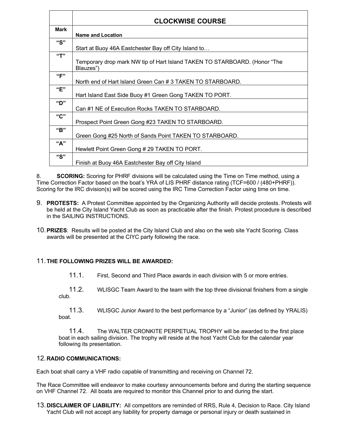|             | <b>CLOCKWISE COURSE</b>                                                                |
|-------------|----------------------------------------------------------------------------------------|
| <b>Mark</b> | <b>Name and Location</b>                                                               |
| "S"         | Start at Buoy 46A Eastchester Bay off City Island to                                   |
| "T"         | Temporary drop mark NW tip of Hart Island TAKEN TO STARBOARD. (Honor "The<br>Blauzes") |
| "F"         | North end of Hart Island Green Can # 3 TAKEN TO STARBOARD.                             |
| "F"         | Hart Island East Side Buoy #1 Green Gong TAKEN TO PORT.                                |
| "D"         | Can #1 NE of Execution Rocks TAKEN TO STARBOARD.                                       |
| "C"         | Prospect Point Green Gong #23 TAKEN TO STARBOARD.                                      |
| "B"         | Green Gong #25 North of Sands Point TAKEN TO STARBOARD.                                |
| "A"         | Hewlett Point Green Gong # 29 TAKEN TO PORT.                                           |
| "S"         | Finish at Buoy 46A Eastchester Bay off City Island                                     |

8. **SCORING:** Scoring for PHRF divisions will be calculated using the Time on Time method, using a Time Correction Factor based on the boat's YRA of LIS PHRF distance rating (TCF=600 / (480+PHRF)). Scoring for the IRC division(s) will be scored using the IRC Time Correction Factor using time on time.

- 9. **PROTESTS:** A Protest Committee appointed by the Organizing Authority will decide protests. Protests will be held at the City Island Yacht Club as soon as practicable after the finish. Protest procedure is described in the SAILING INSTRUCTIONS.
- 10.**PRIZES**: Results will be posted at the City Island Club and also on the web site Yacht Scoring. Class awards will be presented at the CIYC party following the race.

### 11.**THE FOLLOWING PRIZES WILL BE AWARDED:**

- 11.1. First, Second and Third Place awards in each division with 5 or more entries.
- 11.2. WLISGC Team Award to the team with the top three divisional finishers from a single club.

11.4. The WALTER CRONKITE PERPETUAL TROPHY will be awarded to the first place boat in each sailing division. The trophy will reside at the host Yacht Club for the calendar year following its presentation.

### 12.**RADIO COMMUNICATIONS:**

Each boat shall carry a VHF radio capable of transmitting and receiving on Channel 72.

The Race Committee will endeavor to make courtesy announcements before and during the starting sequence on VHF Channel 72. All boats are required to monitor this Channel prior to and during the start.

13.**DISCLAIMER OF LIABILITY:** All competitors are reminded of RRS, Rule 4, Decision to Race. City Island Yacht Club will not accept any liability for property damage or personal injury or death sustained in

<sup>11.3.</sup> WLISGC Junior Award to the best performance by a "Junior" (as defined by YRALIS) boat.